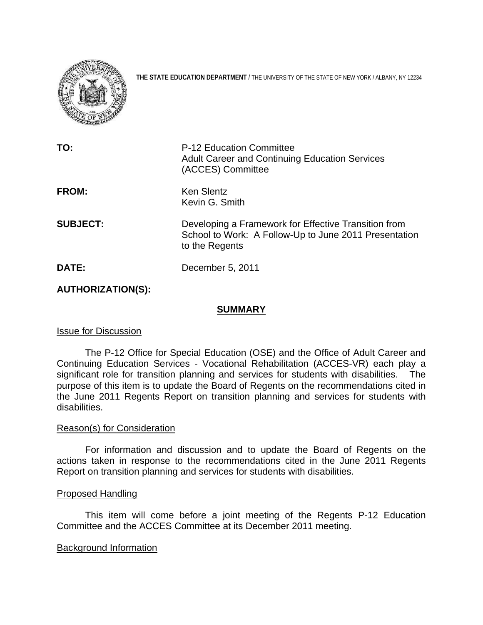

**THE STATE EDUCATION DEPARTMENT** / THE UNIVERSITY OF THE STATE OF NEW YORK / ALBANY, NY 12234

| TO:             | P-12 Education Committee<br><b>Adult Career and Continuing Education Services</b><br>(ACCES) Committee                          |
|-----------------|---------------------------------------------------------------------------------------------------------------------------------|
| <b>FROM:</b>    | <b>Ken Slentz</b><br>Kevin G. Smith                                                                                             |
| <b>SUBJECT:</b> | Developing a Framework for Effective Transition from<br>School to Work: A Follow-Up to June 2011 Presentation<br>to the Regents |
| DATE:           | December 5, 2011                                                                                                                |

# **AUTHORIZATION(S):**

## **SUMMARY**

### Issue for Discussion

 The P-12 Office for Special Education (OSE) and the Office of Adult Career and Continuing Education Services - Vocational Rehabilitation (ACCES-VR) each play a significant role for transition planning and services for students with disabilities. The purpose of this item is to update the Board of Regents on the recommendations cited in the June 2011 Regents Report on transition planning and services for students with disabilities.

### Reason(s) for Consideration

For information and discussion and to update the Board of Regents on the actions taken in response to the recommendations cited in the June 2011 Regents Report on transition planning and services for students with disabilities.

### Proposed Handling

This item will come before a joint meeting of the Regents P-12 Education Committee and the ACCES Committee at its December 2011 meeting.

### Background Information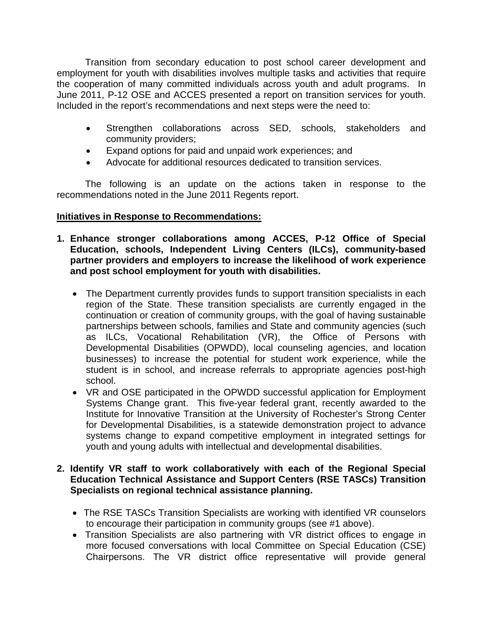Transition from secondary education to post school career development and employment for youth with disabilities involves multiple tasks and activities that require the cooperation of many committed individuals across youth and adult programs. In June 2011, P-12 OSE and ACCES presented a report on transition services for youth. Included in the report's recommendations and next steps were the need to:

- Strengthen collaborations across SED, schools, stakeholders and community providers;
- Expand options for paid and unpaid work experiences; and
- Advocate for additional resources dedicated to transition services.

 The following is an update on the actions taken in response to the recommendations noted in the June 2011 Regents report.

# **Initiatives in Response to Recommendations:**

- **1. Enhance stronger collaborations among ACCES, P-12 Office of Special Education, schools, Independent Living Centers (ILCs), community-based partner providers and employers to increase the likelihood of work experience and post school employment for youth with disabilities.** 
	- The Department currently provides funds to support transition specialists in each region of the State. These transition specialists are currently engaged in the continuation or creation of community groups, with the goal of having sustainable partnerships between schools, families and State and community agencies (such as ILCs, Vocational Rehabilitation (VR), the Office of Persons with Developmental Disabilities (OPWDD), local counseling agencies, and location businesses) to increase the potential for student work experience, while the student is in school, and increase referrals to appropriate agencies post-high school.
	- VR and OSE participated in the OPWDD successful application for Employment Systems Change grant. This five-year federal grant, recently awarded to the Institute for Innovative Transition at the University of Rochester's Strong Center for Developmental Disabilities, is a statewide demonstration project to advance systems change to expand competitive employment in integrated settings for youth and young adults with intellectual and developmental disabilities.

# **2. Identify VR staff to work collaboratively with each of the Regional Special Education Technical Assistance and Support Centers (RSE TASCs) Transition Specialists on regional technical assistance planning.**

- The RSE TASCs Transition Specialists are working with identified VR counselors to encourage their participation in community groups (see #1 above).
- Transition Specialists are also partnering with VR district offices to engage in more focused conversations with local Committee on Special Education (CSE) Chairpersons. The VR district office representative will provide general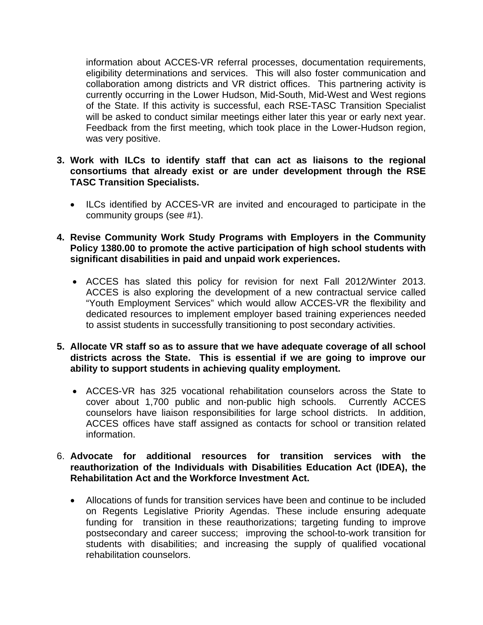information about ACCES-VR referral processes, documentation requirements, eligibility determinations and services. This will also foster communication and collaboration among districts and VR district offices. This partnering activity is currently occurring in the Lower Hudson, Mid-South, Mid-West and West regions of the State. If this activity is successful, each RSE-TASC Transition Specialist will be asked to conduct similar meetings either later this year or early next year. Feedback from the first meeting, which took place in the Lower-Hudson region, was very positive.

## **3. Work with ILCs to identify staff that can act as liaisons to the regional consortiums that already exist or are under development through the RSE TASC Transition Specialists.**

• ILCs identified by ACCES-VR are invited and encouraged to participate in the community groups (see #1).

# **4. Revise Community Work Study Programs with Employers in the Community Policy 1380.00 to promote the active participation of high school students with significant disabilities in paid and unpaid work experiences.**

- ACCES has slated this policy for revision for next Fall 2012/Winter 2013. ACCES is also exploring the development of a new contractual service called "Youth Employment Services" which would allow ACCES-VR the flexibility and dedicated resources to implement employer based training experiences needed to assist students in successfully transitioning to post secondary activities.
- **5. Allocate VR staff so as to assure that we have adequate coverage of all school districts across the State. This is essential if we are going to improve our ability to support students in achieving quality employment.** 
	- ACCES-VR has 325 vocational rehabilitation counselors across the State to cover about 1,700 public and non-public high schools. Currently ACCES counselors have liaison responsibilities for large school districts. In addition, ACCES offices have staff assigned as contacts for school or transition related information.

## 6. **Advocate for additional resources for transition services with the reauthorization of the Individuals with Disabilities Education Act (IDEA), the Rehabilitation Act and the Workforce Investment Act.**

 Allocations of funds for transition services have been and continue to be included on Regents Legislative Priority Agendas. These include ensuring adequate funding for transition in these reauthorizations; targeting funding to improve postsecondary and career success; improving the school-to-work transition for students with disabilities; and increasing the supply of qualified vocational rehabilitation counselors.